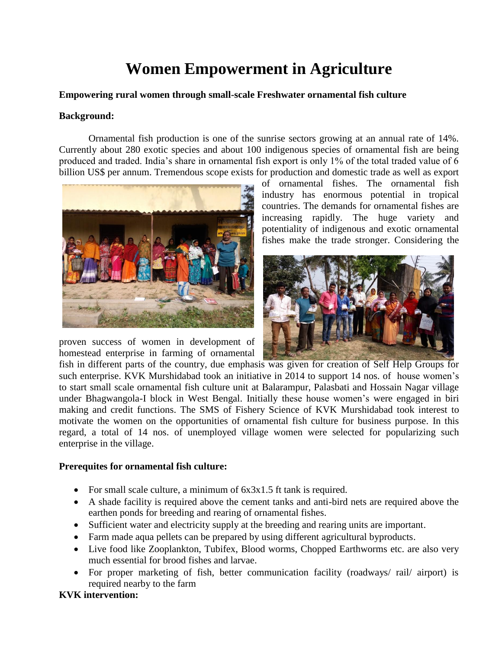# **Women Empowerment in Agriculture**

#### **Empowering rural women through small-scale Freshwater ornamental fish culture**

#### **Background:**

Ornamental fish production is one of the sunrise sectors growing at an annual rate of 14%. Currently about 280 exotic species and about 100 indigenous species of ornamental fish are being produced and traded. India's share in ornamental fish export is only 1% of the total traded value of 6 billion US\$ per annum. Tremendous scope exists for production and domestic trade as well as export



proven success of women in development of homestead enterprise in farming of ornamental

of ornamental fishes. The ornamental fish industry has enormous potential in tropical countries. The demands for ornamental fishes are increasing rapidly. The huge variety and potentiality of indigenous and exotic ornamental fishes make the trade stronger. Considering the



fish in different parts of the country, due emphasis was given for creation of Self Help Groups for such enterprise. KVK Murshidabad took an initiative in 2014 to support 14 nos. of house women's to start small scale ornamental fish culture unit at Balarampur, Palasbati and Hossain Nagar village under Bhagwangola-I block in West Bengal. Initially these house women's were engaged in biri making and credit functions. The SMS of Fishery Science of KVK Murshidabad took interest to motivate the women on the opportunities of ornamental fish culture for business purpose. In this regard, a total of 14 nos. of unemployed village women were selected for popularizing such enterprise in the village.

### **Prerequites for ornamental fish culture:**

- For small scale culture, a minimum of  $6x3x1.5$  ft tank is required.
- A shade facility is required above the cement tanks and anti-bird nets are required above the earthen ponds for breeding and rearing of ornamental fishes.
- Sufficient water and electricity supply at the breeding and rearing units are important.
- Farm made aqua pellets can be prepared by using different agricultural byproducts.
- Live food like Zooplankton, Tubifex, Blood worms, Chopped Earthworms etc. are also very much essential for brood fishes and larvae.
- For proper marketing of fish, better communication facility (roadways/ rail/ airport) is required nearby to the farm

## **KVK intervention:**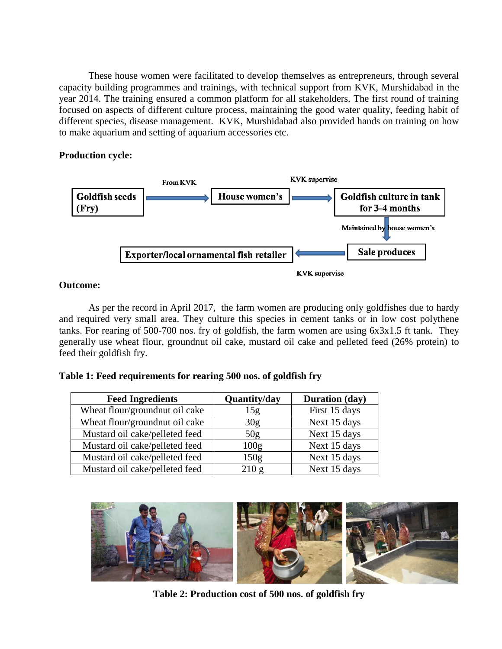These house women were facilitated to develop themselves as entrepreneurs, through several capacity building programmes and trainings, with technical support from KVK, Murshidabad in the year 2014. The training ensured a common platform for all stakeholders. The first round of training focused on aspects of different culture process, maintaining the good water quality, feeding habit of different species, disease management. KVK, Murshidabad also provided hands on training on how to make aquarium and setting of aquarium accessories etc.

#### **Production cycle:**



#### **Outcome:**

As per the record in April 2017, the farm women are producing only goldfishes due to hardy and required very small area. They culture this species in cement tanks or in low cost polythene tanks. For rearing of 500-700 nos. fry of goldfish, the farm women are using 6x3x1.5 ft tank. They generally use wheat flour, groundnut oil cake, mustard oil cake and pelleted feed (26% protein) to feed their goldfish fry.

### **Table 1: Feed requirements for rearing 500 nos. of goldfish fry**

| <b>Feed Ingredients</b>        | Quantity/day     | <b>Duration</b> (day) |
|--------------------------------|------------------|-----------------------|
| Wheat flour/groundnut oil cake | 15 <sub>g</sub>  | First 15 days         |
| Wheat flour/groundnut oil cake | 30 <sub>g</sub>  | Next 15 days          |
| Mustard oil cake/pelleted feed | 50 <sub>g</sub>  | Next 15 days          |
| Mustard oil cake/pelleted feed | 100 <sub>g</sub> | Next 15 days          |
| Mustard oil cake/pelleted feed | 150 <sub>g</sub> | Next 15 days          |
| Mustard oil cake/pelleted feed | 210 g            | Next 15 days          |



**Table 2: Production cost of 500 nos. of goldfish fry**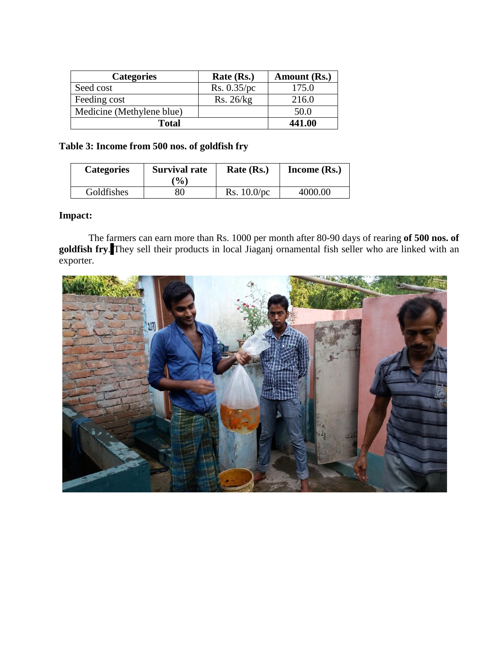| <b>Categories</b>         | Rate (Rs.)  | Amount (Rs.) |
|---------------------------|-------------|--------------|
| Seed cost                 | Rs. 0.35/pc | 175.0        |
| Feeding cost              | Rs. 26/kg   | 216.0        |
| Medicine (Methylene blue) |             | 50.0         |
| <b>Total</b>              |             | 441.00       |

## **Table 3: Income from 500 nos. of goldfish fry**

| <b>Categories</b> | <b>Survival rate</b><br>$\mathcal{O}_0$ | Rate (Rs.)     | Income (Rs.) |
|-------------------|-----------------------------------------|----------------|--------------|
| Goldfishes        | 80                                      | Rs. $10.0$ /pc | 4000.00      |

## **Impact:**

The farmers can earn more than Rs. 1000 per month after 80-90 days of rearing **of 500 nos. of goldfish fry**. They sell their products in local Jiaganj ornamental fish seller who are linked with an exporter.

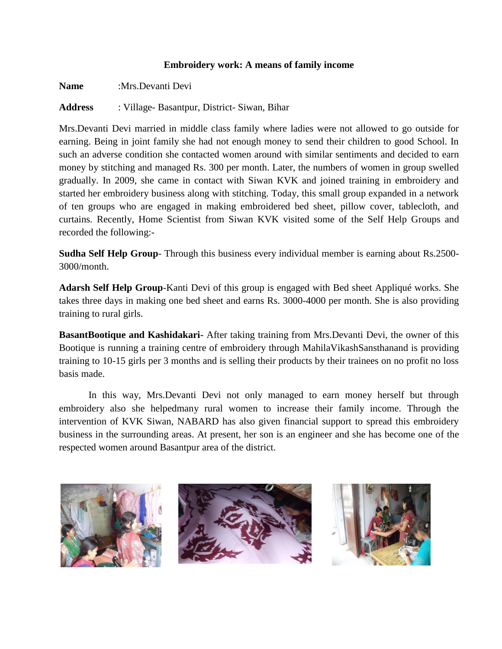#### **Embroidery work: A means of family income**

**Name** :Mrs.Devanti Devi

**Address** : Village- Basantpur, District- Siwan, Bihar

Mrs.Devanti Devi married in middle class family where ladies were not allowed to go outside for earning. Being in joint family she had not enough money to send their children to good School. In such an adverse condition she contacted women around with similar sentiments and decided to earn money by stitching and managed Rs. 300 per month. Later, the numbers of women in group swelled gradually. In 2009, she came in contact with Siwan KVK and joined training in embroidery and started her embroidery business along with stitching. Today, this small group expanded in a network of ten groups who are engaged in making embroidered bed sheet, pillow cover, tablecloth, and curtains. Recently, Home Scientist from Siwan KVK visited some of the Self Help Groups and recorded the following:-

**Sudha Self Help Group**- Through this business every individual member is earning about Rs.2500- 3000/month.

**Adarsh Self Help Group**-Kanti Devi of this group is engaged with Bed sheet Appliqué works. She takes three days in making one bed sheet and earns Rs. 3000-4000 per month. She is also providing training to rural girls.

**BasantBootique and Kashidakari-** After taking training from Mrs.Devanti Devi, the owner of this Bootique is running a training centre of embroidery through MahilaVikashSansthanand is providing training to 10-15 girls per 3 months and is selling their products by their trainees on no profit no loss basis made.

In this way, Mrs.Devanti Devi not only managed to earn money herself but through embroidery also she helpedmany rural women to increase their family income. Through the intervention of KVK Siwan, NABARD has also given financial support to spread this embroidery business in the surrounding areas. At present, her son is an engineer and she has become one of the respected women around Basantpur area of the district.